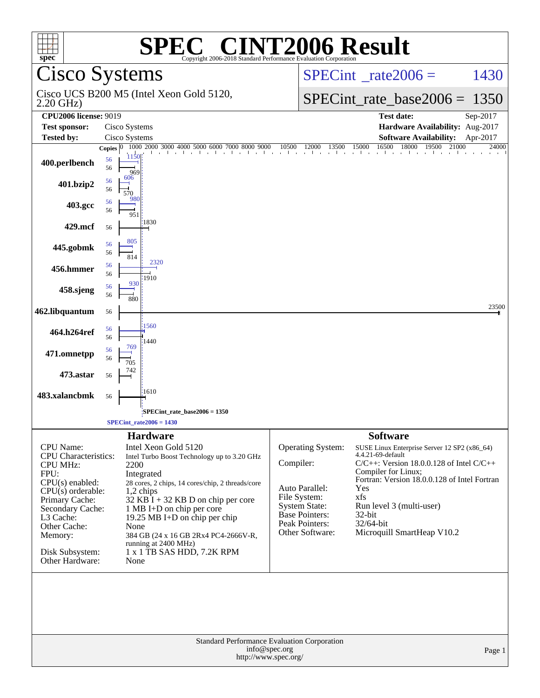| C <sup>®</sup> CINT2006 Result<br>$spec^*$<br>Copyright 2006-2018 Standard Performance Evaluation Corporation |                                                                     |               |                                      |                                                                     |          |
|---------------------------------------------------------------------------------------------------------------|---------------------------------------------------------------------|---------------|--------------------------------------|---------------------------------------------------------------------|----------|
|                                                                                                               | <b>Cisco Systems</b>                                                |               | $SPECint^{\circ}$ rate $2006 =$      | 1430                                                                |          |
| $2.20$ GHz)                                                                                                   | Cisco UCS B200 M5 (Intel Xeon Gold 5120,                            |               |                                      | $SPECint_rate\_base2006 =$                                          | 1350     |
| <b>CPU2006 license: 9019</b>                                                                                  |                                                                     |               |                                      | <b>Test date:</b>                                                   | Sep-2017 |
| <b>Test sponsor:</b>                                                                                          | Cisco Systems                                                       |               |                                      | Hardware Availability: Aug-2017                                     |          |
| <b>Tested by:</b>                                                                                             | Cisco Systems                                                       |               |                                      | <b>Software Availability:</b>                                       | Apr-2017 |
| 400.perlbench                                                                                                 | 1000 2000 3000 4000 5000<br>Copies $ 0 $<br>1150<br>56<br>56<br>969 | 10500<br>6000 | 12000<br>13500                       | 16500<br>18000<br>21000<br>15000<br>19500                           | 24000    |
| 401.bzip2                                                                                                     | 606<br>56<br>56<br>570                                              |               |                                      |                                                                     |          |
| 403.gcc                                                                                                       | 980<br>56<br>56<br>951                                              |               |                                      |                                                                     |          |
| 429.mcf                                                                                                       | 1830<br>56                                                          |               |                                      |                                                                     |          |
| 445.gobmk                                                                                                     | 805<br>56<br>56<br>814                                              |               |                                      |                                                                     |          |
| 456.hmmer                                                                                                     | 2320<br>56<br>56<br>1910                                            |               |                                      |                                                                     |          |
| 458.sjeng                                                                                                     | 930<br>56<br>56<br>880                                              |               |                                      |                                                                     |          |
| 462.libquantum                                                                                                | 56                                                                  |               |                                      |                                                                     | 23500    |
| 464.h264ref                                                                                                   | 1560<br>56<br>56<br>1440                                            |               |                                      |                                                                     |          |
| 471.omnetpp                                                                                                   | 769<br>56<br>56<br>705                                              |               |                                      |                                                                     |          |
| 473.astar                                                                                                     | 56                                                                  |               |                                      |                                                                     |          |
| 483.xalancbmk                                                                                                 | 1610<br>56                                                          |               |                                      |                                                                     |          |
|                                                                                                               | SPECint_rate_base2006 = 1350                                        |               |                                      |                                                                     |          |
|                                                                                                               | $SPECint_rate2006 = 1430$                                           |               |                                      |                                                                     |          |
|                                                                                                               | <b>Hardware</b>                                                     |               |                                      | <b>Software</b>                                                     |          |
| <b>CPU</b> Name:<br><b>CPU</b> Characteristics:                                                               | Intel Xeon Gold 5120<br>Intel Turbo Boost Technology up to 3.20 GHz |               | Operating System:                    | SUSE Linux Enterprise Server 12 SP2 (x86_64)<br>4.4.21-69-default   |          |
| <b>CPU MHz:</b>                                                                                               | 2200                                                                |               | Compiler:                            | $C/C++$ : Version 18.0.0.128 of Intel $C/C++$                       |          |
| FPU:<br>$CPU(s)$ enabled:                                                                                     | Integrated                                                          |               |                                      | Compiler for Linux;<br>Fortran: Version 18.0.0.128 of Intel Fortran |          |
| $CPU(s)$ orderable:                                                                                           | 28 cores, 2 chips, 14 cores/chip, 2 threads/core<br>1,2 chips       |               | Auto Parallel:                       | Yes                                                                 |          |
| Primary Cache:                                                                                                | 32 KB I + 32 KB D on chip per core                                  |               | File System:<br><b>System State:</b> | xfs<br>Run level 3 (multi-user)                                     |          |
| Secondary Cache:<br>L3 Cache:                                                                                 | 1 MB I+D on chip per core<br>19.25 MB I+D on chip per chip          |               | <b>Base Pointers:</b>                | 32-bit                                                              |          |
| Other Cache:                                                                                                  | None                                                                |               | Peak Pointers:                       | 32/64-bit                                                           |          |
| Memory:                                                                                                       | 384 GB (24 x 16 GB 2Rx4 PC4-2666V-R,<br>running at 2400 MHz)        |               | Other Software:                      | Microquill SmartHeap V10.2                                          |          |
| Disk Subsystem:<br>Other Hardware:                                                                            | 1 x 1 TB SAS HDD, 7.2K RPM<br>None                                  |               |                                      |                                                                     |          |
|                                                                                                               |                                                                     |               |                                      |                                                                     |          |
|                                                                                                               |                                                                     |               |                                      |                                                                     |          |
| Standard Performance Evaluation Corporation<br>info@spec.org<br>Page 1<br>http://www.spec.org/                |                                                                     |               |                                      |                                                                     |          |
|                                                                                                               |                                                                     |               |                                      |                                                                     |          |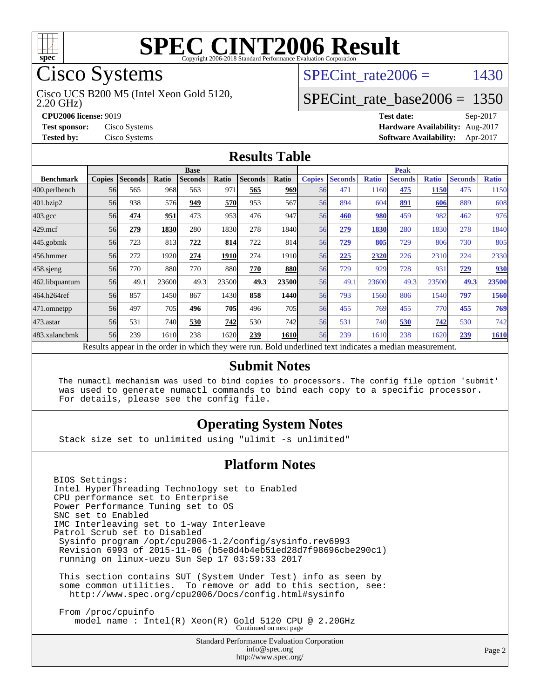

# Cisco Systems

2.20 GHz) Cisco UCS B200 M5 (Intel Xeon Gold 5120, SPECint rate  $2006 = 1430$ 

### [SPECint\\_rate\\_base2006 =](http://www.spec.org/auto/cpu2006/Docs/result-fields.html#SPECintratebase2006) 1350

**[CPU2006 license:](http://www.spec.org/auto/cpu2006/Docs/result-fields.html#CPU2006license)** 9019 **[Test date:](http://www.spec.org/auto/cpu2006/Docs/result-fields.html#Testdate)** Sep-2017 **[Test sponsor:](http://www.spec.org/auto/cpu2006/Docs/result-fields.html#Testsponsor)** Cisco Systems **[Hardware Availability:](http://www.spec.org/auto/cpu2006/Docs/result-fields.html#HardwareAvailability)** Aug-2017 **[Tested by:](http://www.spec.org/auto/cpu2006/Docs/result-fields.html#Testedby)** Cisco Systems **[Software Availability:](http://www.spec.org/auto/cpu2006/Docs/result-fields.html#SoftwareAvailability)** Apr-2017

#### **[Results Table](http://www.spec.org/auto/cpu2006/Docs/result-fields.html#ResultsTable)**

|                                                                                                          | <b>Base</b>   |                |       |                |       | <b>Peak</b>    |               |               |                |              |                |              |                |              |
|----------------------------------------------------------------------------------------------------------|---------------|----------------|-------|----------------|-------|----------------|---------------|---------------|----------------|--------------|----------------|--------------|----------------|--------------|
| <b>Benchmark</b>                                                                                         | <b>Copies</b> | <b>Seconds</b> | Ratio | <b>Seconds</b> | Ratio | <b>Seconds</b> | Ratio         | <b>Copies</b> | <b>Seconds</b> | <b>Ratio</b> | <b>Seconds</b> | <b>Ratio</b> | <b>Seconds</b> | <b>Ratio</b> |
| 400.perlbench                                                                                            | 56            | 565            | 968   | 563            | 971   | 565            | 969           | 56            | 471            | 1160         | 475            | 1150         | 475            | 1150         |
| 401.bzip2                                                                                                | 56            | 938            | 576   | 949            | 570   | 953            | 567           | 56            | 894            | 604          | 891            | 606          | 889            | 608          |
| $403.\mathrm{gcc}$                                                                                       | 56            | 474            | 951   | 473            | 953   | 476            | 947           | 56            | 460            | 980          | 459            | 982          | 462            | 976          |
| $429$ .mcf                                                                                               | 56            | 279            | 1830  | 280            | 1830  | 278            | 1840          | 56            | 279            | 1830         | 280            | 1830         | 278            | 1840         |
| $445$ .gobmk                                                                                             | 56            | 723            | 813   | 722            | 814   | 722            | 814           | 56            | 729            | 805          | 729            | 806          | 730            | 805          |
| 456.hmmer                                                                                                | 56            | 272            | 1920  | 274            | 1910  | 274            | 1910 <b> </b> | 56            | 225            | 2320         | 226            | 2310         | 224            | 2330         |
| $458$ .sjeng                                                                                             | 56            | 770            | 880   | 770            | 880   | 770            | <b>880</b>    | 56            | 729            | 929          | 728            | 931          | 729            | 930          |
| 462.libquantum                                                                                           | 56            | 49.1           | 23600 | 49.3           | 23500 | 49.3           | 23500         | 56            | 49.1           | 23600        | 49.3           | 23500        | 49.3           | 23500        |
| 464.h264ref                                                                                              | 56            | 857            | 1450  | 867            | 1430  | 858            | 1440          | 56            | 793            | 1560         | 806            | 1540         | 797            | 1560         |
| 471.omnetpp                                                                                              | 56            | 497            | 705   | 496            | 705   | 496            | <b>705</b>    | 56            | 455            | 769          | 455            | 770          | 455            | 769          |
| $473$ . astar                                                                                            | 56            | 531            | 740   | 530            | 742   | 530            | <b>742</b>    | 56            | 531            | 740          | 530            | 742          | 530            | 742          |
| 483.xalancbmk                                                                                            | 56            | 239            | 1610  | 238            | 1620  | 239            | <b>1610</b>   | 56            | 239            | 1610         | 238            | 1620         | 239            | 1610         |
| Results appear in the order in which they were run. Bold underlined text indicates a median measurement. |               |                |       |                |       |                |               |               |                |              |                |              |                |              |

#### **[Submit Notes](http://www.spec.org/auto/cpu2006/Docs/result-fields.html#SubmitNotes)**

 The numactl mechanism was used to bind copies to processors. The config file option 'submit' was used to generate numactl commands to bind each copy to a specific processor. For details, please see the config file.

#### **[Operating System Notes](http://www.spec.org/auto/cpu2006/Docs/result-fields.html#OperatingSystemNotes)**

Stack size set to unlimited using "ulimit -s unlimited"

#### **[Platform Notes](http://www.spec.org/auto/cpu2006/Docs/result-fields.html#PlatformNotes)**

BIOS Settings: Intel HyperThreading Technology set to Enabled CPU performance set to Enterprise Power Performance Tuning set to OS SNC set to Enabled IMC Interleaving set to 1-way Interleave Patrol Scrub set to Disabled Sysinfo program /opt/cpu2006-1.2/config/sysinfo.rev6993 Revision 6993 of 2015-11-06 (b5e8d4b4eb51ed28d7f98696cbe290c1) running on linux-uezu Sun Sep 17 03:59:33 2017 This section contains SUT (System Under Test) info as seen by some common utilities. To remove or add to this section, see: <http://www.spec.org/cpu2006/Docs/config.html#sysinfo> From /proc/cpuinfo

model name : Intel(R) Xeon(R) Gold 5120 CPU @ 2.20GHz Continued on next page

Standard Performance Evaluation Corporation [info@spec.org](mailto:info@spec.org) <http://www.spec.org/>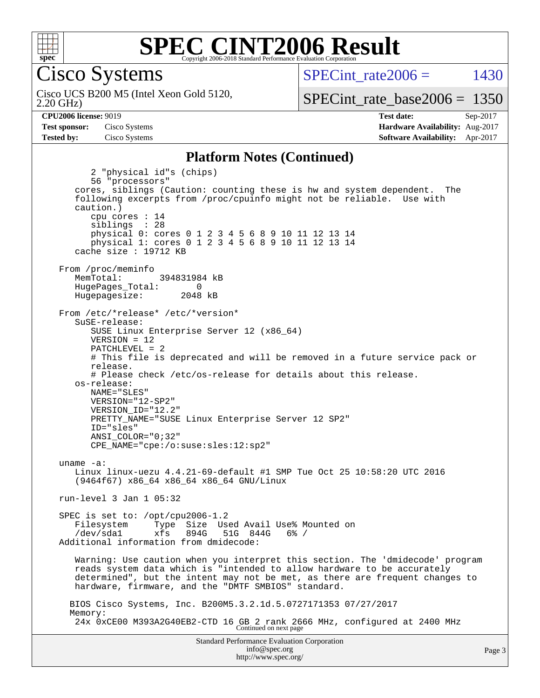

Cisco Systems

2.20 GHz) Cisco UCS B200 M5 (Intel Xeon Gold 5120, SPECint rate  $2006 = 1430$ 

[SPECint\\_rate\\_base2006 =](http://www.spec.org/auto/cpu2006/Docs/result-fields.html#SPECintratebase2006) 1350

**[CPU2006 license:](http://www.spec.org/auto/cpu2006/Docs/result-fields.html#CPU2006license)** 9019 **[Test date:](http://www.spec.org/auto/cpu2006/Docs/result-fields.html#Testdate)** Sep-2017 **[Test sponsor:](http://www.spec.org/auto/cpu2006/Docs/result-fields.html#Testsponsor)** Cisco Systems **[Hardware Availability:](http://www.spec.org/auto/cpu2006/Docs/result-fields.html#HardwareAvailability)** Aug-2017 **[Tested by:](http://www.spec.org/auto/cpu2006/Docs/result-fields.html#Testedby)** Cisco Systems **[Software Availability:](http://www.spec.org/auto/cpu2006/Docs/result-fields.html#SoftwareAvailability)** Apr-2017

#### **[Platform Notes \(Continued\)](http://www.spec.org/auto/cpu2006/Docs/result-fields.html#PlatformNotes)**

Standard Performance Evaluation Corporation 2 "physical id"s (chips) 56 "processors" cores, siblings (Caution: counting these is hw and system dependent. The following excerpts from /proc/cpuinfo might not be reliable. Use with caution.) cpu cores : 14 siblings : 28 physical 0: cores 0 1 2 3 4 5 6 8 9 10 11 12 13 14 physical 1: cores 0 1 2 3 4 5 6 8 9 10 11 12 13 14 cache size : 19712 KB From /proc/meminfo MemTotal: 394831984 kB HugePages\_Total: 0<br>Hugepagesize: 2048 kB Hugepagesize: From /etc/\*release\* /etc/\*version\* SuSE-release: SUSE Linux Enterprise Server 12 (x86\_64) VERSION = 12 PATCHLEVEL = 2 # This file is deprecated and will be removed in a future service pack or release. # Please check /etc/os-release for details about this release. os-release: NAME="SLES" VERSION="12-SP2" VERSION\_ID="12.2" PRETTY\_NAME="SUSE Linux Enterprise Server 12 SP2" ID="sles" ANSI\_COLOR="0;32" CPE\_NAME="cpe:/o:suse:sles:12:sp2" uname -a: Linux linux-uezu 4.4.21-69-default #1 SMP Tue Oct 25 10:58:20 UTC 2016 (9464f67) x86\_64 x86\_64 x86\_64 GNU/Linux run-level 3 Jan 1 05:32 SPEC is set to: /opt/cpu2006-1.2 Filesystem Type Size Used Avail Use% Mounted on /dev/sda1 xfs 894G 51G 844G 6% / Additional information from dmidecode: Warning: Use caution when you interpret this section. The 'dmidecode' program reads system data which is "intended to allow hardware to be accurately determined", but the intent may not be met, as there are frequent changes to hardware, firmware, and the "DMTF SMBIOS" standard. BIOS Cisco Systems, Inc. B200M5.3.2.1d.5.0727171353 07/27/2017 Memory: 24x 0xCE00 M393A2G40EB2-CTD 16 GB 2 rank 2666 MHz, configured at 2400 MHz Continued on next page

[info@spec.org](mailto:info@spec.org) <http://www.spec.org/>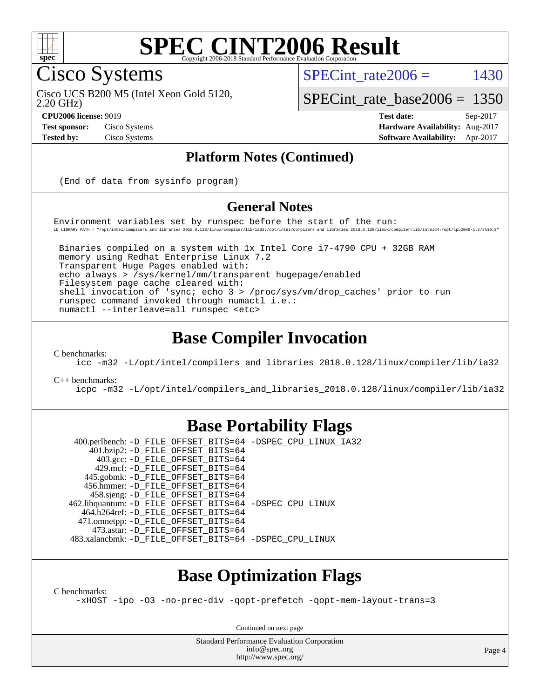

#### **[SPEC CINT2006 Result](http://www.spec.org/auto/cpu2006/Docs/result-fields.html#SPECCINT2006Result)** Copyright 2006-2018 Standard Performance Evaluation

Cisco Systems

SPECint rate  $2006 = 1430$ 

2.20 GHz) Cisco UCS B200 M5 (Intel Xeon Gold 5120,

[SPECint\\_rate\\_base2006 =](http://www.spec.org/auto/cpu2006/Docs/result-fields.html#SPECintratebase2006) 1350

**[CPU2006 license:](http://www.spec.org/auto/cpu2006/Docs/result-fields.html#CPU2006license)** 9019 **[Test date:](http://www.spec.org/auto/cpu2006/Docs/result-fields.html#Testdate)** Sep-2017 **[Test sponsor:](http://www.spec.org/auto/cpu2006/Docs/result-fields.html#Testsponsor)** Cisco Systems **[Hardware Availability:](http://www.spec.org/auto/cpu2006/Docs/result-fields.html#HardwareAvailability)** Aug-2017 **[Tested by:](http://www.spec.org/auto/cpu2006/Docs/result-fields.html#Testedby)** Cisco Systems **[Software Availability:](http://www.spec.org/auto/cpu2006/Docs/result-fields.html#SoftwareAvailability)** Apr-2017

#### **[Platform Notes \(Continued\)](http://www.spec.org/auto/cpu2006/Docs/result-fields.html#PlatformNotes)**

(End of data from sysinfo program)

#### **[General Notes](http://www.spec.org/auto/cpu2006/Docs/result-fields.html#GeneralNotes)**

Environment variables set by runspec before the start of the run: LD\_LIBRARY\_PATH = "/opt/intel/compilers\_and\_libraries\_2018.0.128/linux/compiler/lib/ia32:/opt/intel/compilers\_and\_libraries\_2018.0.128/linux/compiler/lib/intel64:/opt/cpu2006-1.2/sh10.2"

 Binaries compiled on a system with 1x Intel Core i7-4790 CPU + 32GB RAM memory using Redhat Enterprise Linux 7.2 Transparent Huge Pages enabled with: echo always > /sys/kernel/mm/transparent\_hugepage/enabled Filesystem page cache cleared with: shell invocation of 'sync; echo 3 > /proc/sys/vm/drop\_caches' prior to run runspec command invoked through numactl i.e.: numactl --interleave=all runspec <etc>

### **[Base Compiler Invocation](http://www.spec.org/auto/cpu2006/Docs/result-fields.html#BaseCompilerInvocation)**

[C benchmarks](http://www.spec.org/auto/cpu2006/Docs/result-fields.html#Cbenchmarks):

[icc -m32 -L/opt/intel/compilers\\_and\\_libraries\\_2018.0.128/linux/compiler/lib/ia32](http://www.spec.org/cpu2006/results/res2017q4/cpu2006-20170919-50216.flags.html#user_CCbase_intel_icc_f1cd40e6f144bded1b7a0c3b553250de)

[C++ benchmarks:](http://www.spec.org/auto/cpu2006/Docs/result-fields.html#CXXbenchmarks)

[icpc -m32 -L/opt/intel/compilers\\_and\\_libraries\\_2018.0.128/linux/compiler/lib/ia32](http://www.spec.org/cpu2006/results/res2017q4/cpu2006-20170919-50216.flags.html#user_CXXbase_intel_icpc_1c2a16043037212282641ff86d0d58ab)

#### **[Base Portability Flags](http://www.spec.org/auto/cpu2006/Docs/result-fields.html#BasePortabilityFlags)**

 400.perlbench: [-D\\_FILE\\_OFFSET\\_BITS=64](http://www.spec.org/cpu2006/results/res2017q4/cpu2006-20170919-50216.flags.html#user_basePORTABILITY400_perlbench_file_offset_bits_64_438cf9856305ebd76870a2c6dc2689ab) [-DSPEC\\_CPU\\_LINUX\\_IA32](http://www.spec.org/cpu2006/results/res2017q4/cpu2006-20170919-50216.flags.html#b400.perlbench_baseCPORTABILITY_DSPEC_CPU_LINUX_IA32) 401.bzip2: [-D\\_FILE\\_OFFSET\\_BITS=64](http://www.spec.org/cpu2006/results/res2017q4/cpu2006-20170919-50216.flags.html#user_basePORTABILITY401_bzip2_file_offset_bits_64_438cf9856305ebd76870a2c6dc2689ab) 403.gcc: [-D\\_FILE\\_OFFSET\\_BITS=64](http://www.spec.org/cpu2006/results/res2017q4/cpu2006-20170919-50216.flags.html#user_basePORTABILITY403_gcc_file_offset_bits_64_438cf9856305ebd76870a2c6dc2689ab) 429.mcf: [-D\\_FILE\\_OFFSET\\_BITS=64](http://www.spec.org/cpu2006/results/res2017q4/cpu2006-20170919-50216.flags.html#user_basePORTABILITY429_mcf_file_offset_bits_64_438cf9856305ebd76870a2c6dc2689ab) 445.gobmk: [-D\\_FILE\\_OFFSET\\_BITS=64](http://www.spec.org/cpu2006/results/res2017q4/cpu2006-20170919-50216.flags.html#user_basePORTABILITY445_gobmk_file_offset_bits_64_438cf9856305ebd76870a2c6dc2689ab) 456.hmmer: [-D\\_FILE\\_OFFSET\\_BITS=64](http://www.spec.org/cpu2006/results/res2017q4/cpu2006-20170919-50216.flags.html#user_basePORTABILITY456_hmmer_file_offset_bits_64_438cf9856305ebd76870a2c6dc2689ab) 458.sjeng: [-D\\_FILE\\_OFFSET\\_BITS=64](http://www.spec.org/cpu2006/results/res2017q4/cpu2006-20170919-50216.flags.html#user_basePORTABILITY458_sjeng_file_offset_bits_64_438cf9856305ebd76870a2c6dc2689ab) 462.libquantum: [-D\\_FILE\\_OFFSET\\_BITS=64](http://www.spec.org/cpu2006/results/res2017q4/cpu2006-20170919-50216.flags.html#user_basePORTABILITY462_libquantum_file_offset_bits_64_438cf9856305ebd76870a2c6dc2689ab) [-DSPEC\\_CPU\\_LINUX](http://www.spec.org/cpu2006/results/res2017q4/cpu2006-20170919-50216.flags.html#b462.libquantum_baseCPORTABILITY_DSPEC_CPU_LINUX) 464.h264ref: [-D\\_FILE\\_OFFSET\\_BITS=64](http://www.spec.org/cpu2006/results/res2017q4/cpu2006-20170919-50216.flags.html#user_basePORTABILITY464_h264ref_file_offset_bits_64_438cf9856305ebd76870a2c6dc2689ab) 471.omnetpp: [-D\\_FILE\\_OFFSET\\_BITS=64](http://www.spec.org/cpu2006/results/res2017q4/cpu2006-20170919-50216.flags.html#user_basePORTABILITY471_omnetpp_file_offset_bits_64_438cf9856305ebd76870a2c6dc2689ab) 473.astar: [-D\\_FILE\\_OFFSET\\_BITS=64](http://www.spec.org/cpu2006/results/res2017q4/cpu2006-20170919-50216.flags.html#user_basePORTABILITY473_astar_file_offset_bits_64_438cf9856305ebd76870a2c6dc2689ab) 483.xalancbmk: [-D\\_FILE\\_OFFSET\\_BITS=64](http://www.spec.org/cpu2006/results/res2017q4/cpu2006-20170919-50216.flags.html#user_basePORTABILITY483_xalancbmk_file_offset_bits_64_438cf9856305ebd76870a2c6dc2689ab) [-DSPEC\\_CPU\\_LINUX](http://www.spec.org/cpu2006/results/res2017q4/cpu2006-20170919-50216.flags.html#b483.xalancbmk_baseCXXPORTABILITY_DSPEC_CPU_LINUX)

## **[Base Optimization Flags](http://www.spec.org/auto/cpu2006/Docs/result-fields.html#BaseOptimizationFlags)**

[C benchmarks](http://www.spec.org/auto/cpu2006/Docs/result-fields.html#Cbenchmarks):

[-xHOST](http://www.spec.org/cpu2006/results/res2017q4/cpu2006-20170919-50216.flags.html#user_CCbase_f-xHost_e62ac3e528d1159ebbc7507f5617393f) [-ipo](http://www.spec.org/cpu2006/results/res2017q4/cpu2006-20170919-50216.flags.html#user_CCbase_f-ipo) [-O3](http://www.spec.org/cpu2006/results/res2017q4/cpu2006-20170919-50216.flags.html#user_CCbase_f-O3) [-no-prec-div](http://www.spec.org/cpu2006/results/res2017q4/cpu2006-20170919-50216.flags.html#user_CCbase_f-no-prec-div) [-qopt-prefetch](http://www.spec.org/cpu2006/results/res2017q4/cpu2006-20170919-50216.flags.html#user_CCbase_f-qopt-prefetch) [-qopt-mem-layout-trans=3](http://www.spec.org/cpu2006/results/res2017q4/cpu2006-20170919-50216.flags.html#user_CCbase_f-qopt-mem-layout-trans_170f5be61cd2cedc9b54468c59262d5d)

Continued on next page

Standard Performance Evaluation Corporation [info@spec.org](mailto:info@spec.org) <http://www.spec.org/>

Page 4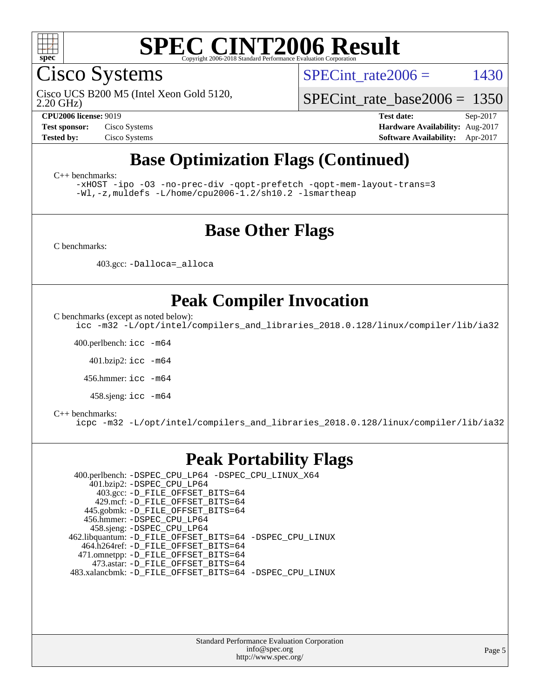

Cisco Systems

Cisco UCS B200 M5 (Intel Xeon Gold 5120,

SPECint rate  $2006 = 1430$ 

[SPECint\\_rate\\_base2006 =](http://www.spec.org/auto/cpu2006/Docs/result-fields.html#SPECintratebase2006) 1350

2.20 GHz)

**[CPU2006 license:](http://www.spec.org/auto/cpu2006/Docs/result-fields.html#CPU2006license)** 9019 **[Test date:](http://www.spec.org/auto/cpu2006/Docs/result-fields.html#Testdate)** Sep-2017 **[Test sponsor:](http://www.spec.org/auto/cpu2006/Docs/result-fields.html#Testsponsor)** Cisco Systems **[Hardware Availability:](http://www.spec.org/auto/cpu2006/Docs/result-fields.html#HardwareAvailability)** Aug-2017 **[Tested by:](http://www.spec.org/auto/cpu2006/Docs/result-fields.html#Testedby)** Cisco Systems **[Software Availability:](http://www.spec.org/auto/cpu2006/Docs/result-fields.html#SoftwareAvailability)** Apr-2017

# **[Base Optimization Flags \(Continued\)](http://www.spec.org/auto/cpu2006/Docs/result-fields.html#BaseOptimizationFlags)**

[C++ benchmarks:](http://www.spec.org/auto/cpu2006/Docs/result-fields.html#CXXbenchmarks)

[-xHOST](http://www.spec.org/cpu2006/results/res2017q4/cpu2006-20170919-50216.flags.html#user_CXXbase_f-xHost_e62ac3e528d1159ebbc7507f5617393f) [-ipo](http://www.spec.org/cpu2006/results/res2017q4/cpu2006-20170919-50216.flags.html#user_CXXbase_f-ipo) [-O3](http://www.spec.org/cpu2006/results/res2017q4/cpu2006-20170919-50216.flags.html#user_CXXbase_f-O3) [-no-prec-div](http://www.spec.org/cpu2006/results/res2017q4/cpu2006-20170919-50216.flags.html#user_CXXbase_f-no-prec-div) [-qopt-prefetch](http://www.spec.org/cpu2006/results/res2017q4/cpu2006-20170919-50216.flags.html#user_CXXbase_f-qopt-prefetch) [-qopt-mem-layout-trans=3](http://www.spec.org/cpu2006/results/res2017q4/cpu2006-20170919-50216.flags.html#user_CXXbase_f-qopt-mem-layout-trans_170f5be61cd2cedc9b54468c59262d5d) [-Wl,-z,muldefs](http://www.spec.org/cpu2006/results/res2017q4/cpu2006-20170919-50216.flags.html#user_CXXbase_link_force_multiple1_74079c344b956b9658436fd1b6dd3a8a) [-L/home/cpu2006-1.2/sh10.2 -lsmartheap](http://www.spec.org/cpu2006/results/res2017q4/cpu2006-20170919-50216.flags.html#user_CXXbase_SmartHeap_5706a66a2f6a219cbb238ac92a73101d)

### **[Base Other Flags](http://www.spec.org/auto/cpu2006/Docs/result-fields.html#BaseOtherFlags)**

[C benchmarks](http://www.spec.org/auto/cpu2006/Docs/result-fields.html#Cbenchmarks):

403.gcc: [-Dalloca=\\_alloca](http://www.spec.org/cpu2006/results/res2017q4/cpu2006-20170919-50216.flags.html#b403.gcc_baseEXTRA_CFLAGS_Dalloca_be3056838c12de2578596ca5467af7f3)

## **[Peak Compiler Invocation](http://www.spec.org/auto/cpu2006/Docs/result-fields.html#PeakCompilerInvocation)**

[C benchmarks \(except as noted below\)](http://www.spec.org/auto/cpu2006/Docs/result-fields.html#Cbenchmarksexceptasnotedbelow):

[icc -m32 -L/opt/intel/compilers\\_and\\_libraries\\_2018.0.128/linux/compiler/lib/ia32](http://www.spec.org/cpu2006/results/res2017q4/cpu2006-20170919-50216.flags.html#user_CCpeak_intel_icc_f1cd40e6f144bded1b7a0c3b553250de)

400.perlbench: [icc -m64](http://www.spec.org/cpu2006/results/res2017q4/cpu2006-20170919-50216.flags.html#user_peakCCLD400_perlbench_intel_icc_64bit_bda6cc9af1fdbb0edc3795bac97ada53)

401.bzip2: [icc -m64](http://www.spec.org/cpu2006/results/res2017q4/cpu2006-20170919-50216.flags.html#user_peakCCLD401_bzip2_intel_icc_64bit_bda6cc9af1fdbb0edc3795bac97ada53)

456.hmmer: [icc -m64](http://www.spec.org/cpu2006/results/res2017q4/cpu2006-20170919-50216.flags.html#user_peakCCLD456_hmmer_intel_icc_64bit_bda6cc9af1fdbb0edc3795bac97ada53)

458.sjeng: [icc -m64](http://www.spec.org/cpu2006/results/res2017q4/cpu2006-20170919-50216.flags.html#user_peakCCLD458_sjeng_intel_icc_64bit_bda6cc9af1fdbb0edc3795bac97ada53)

#### [C++ benchmarks:](http://www.spec.org/auto/cpu2006/Docs/result-fields.html#CXXbenchmarks)

[icpc -m32 -L/opt/intel/compilers\\_and\\_libraries\\_2018.0.128/linux/compiler/lib/ia32](http://www.spec.org/cpu2006/results/res2017q4/cpu2006-20170919-50216.flags.html#user_CXXpeak_intel_icpc_1c2a16043037212282641ff86d0d58ab)

#### **[Peak Portability Flags](http://www.spec.org/auto/cpu2006/Docs/result-fields.html#PeakPortabilityFlags)**

 400.perlbench: [-DSPEC\\_CPU\\_LP64](http://www.spec.org/cpu2006/results/res2017q4/cpu2006-20170919-50216.flags.html#b400.perlbench_peakCPORTABILITY_DSPEC_CPU_LP64) [-DSPEC\\_CPU\\_LINUX\\_X64](http://www.spec.org/cpu2006/results/res2017q4/cpu2006-20170919-50216.flags.html#b400.perlbench_peakCPORTABILITY_DSPEC_CPU_LINUX_X64) 401.bzip2: [-DSPEC\\_CPU\\_LP64](http://www.spec.org/cpu2006/results/res2017q4/cpu2006-20170919-50216.flags.html#suite_peakCPORTABILITY401_bzip2_DSPEC_CPU_LP64) 403.gcc: [-D\\_FILE\\_OFFSET\\_BITS=64](http://www.spec.org/cpu2006/results/res2017q4/cpu2006-20170919-50216.flags.html#user_peakPORTABILITY403_gcc_file_offset_bits_64_438cf9856305ebd76870a2c6dc2689ab) 429.mcf: [-D\\_FILE\\_OFFSET\\_BITS=64](http://www.spec.org/cpu2006/results/res2017q4/cpu2006-20170919-50216.flags.html#user_peakPORTABILITY429_mcf_file_offset_bits_64_438cf9856305ebd76870a2c6dc2689ab) 445.gobmk: [-D\\_FILE\\_OFFSET\\_BITS=64](http://www.spec.org/cpu2006/results/res2017q4/cpu2006-20170919-50216.flags.html#user_peakPORTABILITY445_gobmk_file_offset_bits_64_438cf9856305ebd76870a2c6dc2689ab) 456.hmmer: [-DSPEC\\_CPU\\_LP64](http://www.spec.org/cpu2006/results/res2017q4/cpu2006-20170919-50216.flags.html#suite_peakCPORTABILITY456_hmmer_DSPEC_CPU_LP64) 458.sjeng: [-DSPEC\\_CPU\\_LP64](http://www.spec.org/cpu2006/results/res2017q4/cpu2006-20170919-50216.flags.html#suite_peakCPORTABILITY458_sjeng_DSPEC_CPU_LP64) 462.libquantum: [-D\\_FILE\\_OFFSET\\_BITS=64](http://www.spec.org/cpu2006/results/res2017q4/cpu2006-20170919-50216.flags.html#user_peakPORTABILITY462_libquantum_file_offset_bits_64_438cf9856305ebd76870a2c6dc2689ab) [-DSPEC\\_CPU\\_LINUX](http://www.spec.org/cpu2006/results/res2017q4/cpu2006-20170919-50216.flags.html#b462.libquantum_peakCPORTABILITY_DSPEC_CPU_LINUX) 464.h264ref: [-D\\_FILE\\_OFFSET\\_BITS=64](http://www.spec.org/cpu2006/results/res2017q4/cpu2006-20170919-50216.flags.html#user_peakPORTABILITY464_h264ref_file_offset_bits_64_438cf9856305ebd76870a2c6dc2689ab) 471.omnetpp: [-D\\_FILE\\_OFFSET\\_BITS=64](http://www.spec.org/cpu2006/results/res2017q4/cpu2006-20170919-50216.flags.html#user_peakPORTABILITY471_omnetpp_file_offset_bits_64_438cf9856305ebd76870a2c6dc2689ab) 473.astar: [-D\\_FILE\\_OFFSET\\_BITS=64](http://www.spec.org/cpu2006/results/res2017q4/cpu2006-20170919-50216.flags.html#user_peakPORTABILITY473_astar_file_offset_bits_64_438cf9856305ebd76870a2c6dc2689ab) 483.xalancbmk: [-D\\_FILE\\_OFFSET\\_BITS=64](http://www.spec.org/cpu2006/results/res2017q4/cpu2006-20170919-50216.flags.html#user_peakPORTABILITY483_xalancbmk_file_offset_bits_64_438cf9856305ebd76870a2c6dc2689ab) [-DSPEC\\_CPU\\_LINUX](http://www.spec.org/cpu2006/results/res2017q4/cpu2006-20170919-50216.flags.html#b483.xalancbmk_peakCXXPORTABILITY_DSPEC_CPU_LINUX)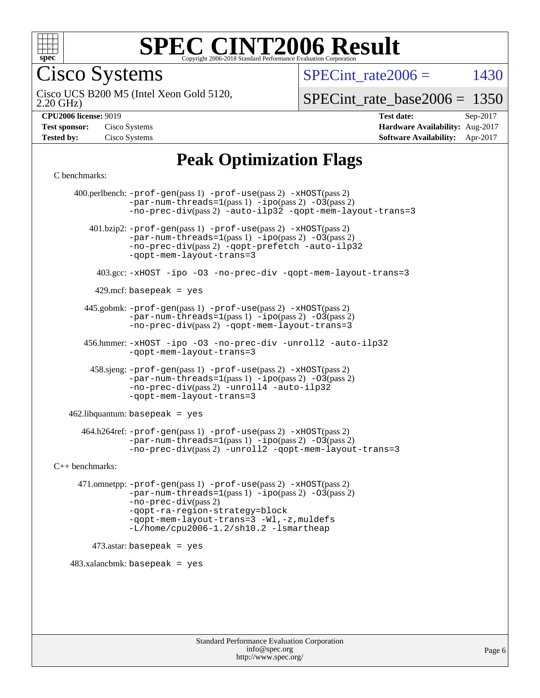

Cisco Systems

SPECint rate  $2006 = 1430$ 

2.20 GHz) Cisco UCS B200 M5 (Intel Xeon Gold 5120,

[SPECint\\_rate\\_base2006 =](http://www.spec.org/auto/cpu2006/Docs/result-fields.html#SPECintratebase2006) 1350

**[Hardware Availability:](http://www.spec.org/auto/cpu2006/Docs/result-fields.html#HardwareAvailability)** Aug-2017 **[Software Availability:](http://www.spec.org/auto/cpu2006/Docs/result-fields.html#SoftwareAvailability)** Apr-2017

**[CPU2006 license:](http://www.spec.org/auto/cpu2006/Docs/result-fields.html#CPU2006license)** 9019 **[Test date:](http://www.spec.org/auto/cpu2006/Docs/result-fields.html#Testdate)** Sep-2017

| <b>Test sponsor:</b> | Cisco Systems |
|----------------------|---------------|
| <b>Tested by:</b>    | Cisco Systems |

# **[Peak Optimization Flags](http://www.spec.org/auto/cpu2006/Docs/result-fields.html#PeakOptimizationFlags)**

[C benchmarks](http://www.spec.org/auto/cpu2006/Docs/result-fields.html#Cbenchmarks):

 400.perlbench: [-prof-gen](http://www.spec.org/cpu2006/results/res2017q4/cpu2006-20170919-50216.flags.html#user_peakPASS1_CFLAGSPASS1_LDCFLAGS400_perlbench_prof_gen_e43856698f6ca7b7e442dfd80e94a8fc)(pass 1) [-prof-use](http://www.spec.org/cpu2006/results/res2017q4/cpu2006-20170919-50216.flags.html#user_peakPASS2_CFLAGSPASS2_LDCFLAGS400_perlbench_prof_use_bccf7792157ff70d64e32fe3e1250b55)(pass 2) [-xHOST](http://www.spec.org/cpu2006/results/res2017q4/cpu2006-20170919-50216.flags.html#user_peakPASS2_CFLAGSPASS2_LDCFLAGS400_perlbench_f-xHost_e62ac3e528d1159ebbc7507f5617393f)(pass 2)  $-par-num-threads=1(pass 1) -ipo(pass 2) -O3(pass 2)$  $-par-num-threads=1(pass 1) -ipo(pass 2) -O3(pass 2)$  $-par-num-threads=1(pass 1) -ipo(pass 2) -O3(pass 2)$  $-par-num-threads=1(pass 1) -ipo(pass 2) -O3(pass 2)$  $-par-num-threads=1(pass 1) -ipo(pass 2) -O3(pass 2)$  $-par-num-threads=1(pass 1) -ipo(pass 2) -O3(pass 2)$ [-no-prec-div](http://www.spec.org/cpu2006/results/res2017q4/cpu2006-20170919-50216.flags.html#user_peakPASS2_CFLAGSPASS2_LDCFLAGS400_perlbench_f-no-prec-div)(pass 2) [-auto-ilp32](http://www.spec.org/cpu2006/results/res2017q4/cpu2006-20170919-50216.flags.html#user_peakCOPTIMIZE400_perlbench_f-auto-ilp32) [-qopt-mem-layout-trans=3](http://www.spec.org/cpu2006/results/res2017q4/cpu2006-20170919-50216.flags.html#user_peakCOPTIMIZE400_perlbench_f-qopt-mem-layout-trans_170f5be61cd2cedc9b54468c59262d5d) 401.bzip2: [-prof-gen](http://www.spec.org/cpu2006/results/res2017q4/cpu2006-20170919-50216.flags.html#user_peakPASS1_CFLAGSPASS1_LDCFLAGS401_bzip2_prof_gen_e43856698f6ca7b7e442dfd80e94a8fc)(pass 1) [-prof-use](http://www.spec.org/cpu2006/results/res2017q4/cpu2006-20170919-50216.flags.html#user_peakPASS2_CFLAGSPASS2_LDCFLAGS401_bzip2_prof_use_bccf7792157ff70d64e32fe3e1250b55)(pass 2) [-xHOST](http://www.spec.org/cpu2006/results/res2017q4/cpu2006-20170919-50216.flags.html#user_peakPASS2_CFLAGSPASS2_LDCFLAGS401_bzip2_f-xHost_e62ac3e528d1159ebbc7507f5617393f)(pass 2)  $-par-num-threads=1(pass 1) -ipo(pass 2) -O3(pass 2)$  $-par-num-threads=1(pass 1) -ipo(pass 2) -O3(pass 2)$  $-par-num-threads=1(pass 1) -ipo(pass 2) -O3(pass 2)$  $-par-num-threads=1(pass 1) -ipo(pass 2) -O3(pass 2)$  $-par-num-threads=1(pass 1) -ipo(pass 2) -O3(pass 2)$  $-par-num-threads=1(pass 1) -ipo(pass 2) -O3(pass 2)$ [-no-prec-div](http://www.spec.org/cpu2006/results/res2017q4/cpu2006-20170919-50216.flags.html#user_peakPASS2_CFLAGSPASS2_LDCFLAGS401_bzip2_f-no-prec-div)(pass 2) [-qopt-prefetch](http://www.spec.org/cpu2006/results/res2017q4/cpu2006-20170919-50216.flags.html#user_peakCOPTIMIZE401_bzip2_f-qopt-prefetch) [-auto-ilp32](http://www.spec.org/cpu2006/results/res2017q4/cpu2006-20170919-50216.flags.html#user_peakCOPTIMIZE401_bzip2_f-auto-ilp32) [-qopt-mem-layout-trans=3](http://www.spec.org/cpu2006/results/res2017q4/cpu2006-20170919-50216.flags.html#user_peakCOPTIMIZE401_bzip2_f-qopt-mem-layout-trans_170f5be61cd2cedc9b54468c59262d5d) 403.gcc: [-xHOST](http://www.spec.org/cpu2006/results/res2017q4/cpu2006-20170919-50216.flags.html#user_peakOPTIMIZE403_gcc_f-xHost_e62ac3e528d1159ebbc7507f5617393f) [-ipo](http://www.spec.org/cpu2006/results/res2017q4/cpu2006-20170919-50216.flags.html#user_peakOPTIMIZE403_gcc_f-ipo) [-O3](http://www.spec.org/cpu2006/results/res2017q4/cpu2006-20170919-50216.flags.html#user_peakOPTIMIZE403_gcc_f-O3) [-no-prec-div](http://www.spec.org/cpu2006/results/res2017q4/cpu2006-20170919-50216.flags.html#user_peakOPTIMIZE403_gcc_f-no-prec-div) [-qopt-mem-layout-trans=3](http://www.spec.org/cpu2006/results/res2017q4/cpu2006-20170919-50216.flags.html#user_peakCOPTIMIZE403_gcc_f-qopt-mem-layout-trans_170f5be61cd2cedc9b54468c59262d5d)  $429$ .mcf: basepeak = yes 445.gobmk: [-prof-gen](http://www.spec.org/cpu2006/results/res2017q4/cpu2006-20170919-50216.flags.html#user_peakPASS1_CFLAGSPASS1_LDCFLAGS445_gobmk_prof_gen_e43856698f6ca7b7e442dfd80e94a8fc)(pass 1) [-prof-use](http://www.spec.org/cpu2006/results/res2017q4/cpu2006-20170919-50216.flags.html#user_peakPASS2_CFLAGSPASS2_LDCFLAGSPASS2_LDFLAGS445_gobmk_prof_use_bccf7792157ff70d64e32fe3e1250b55)(pass 2) [-xHOST](http://www.spec.org/cpu2006/results/res2017q4/cpu2006-20170919-50216.flags.html#user_peakPASS2_CFLAGSPASS2_LDCFLAGSPASS2_LDFLAGS445_gobmk_f-xHost_e62ac3e528d1159ebbc7507f5617393f)(pass 2)  $-par-num-threads=1(pass 1) -ipo(pass 2) -O3(pass 2)$  $-par-num-threads=1(pass 1) -ipo(pass 2) -O3(pass 2)$  $-par-num-threads=1(pass 1) -ipo(pass 2) -O3(pass 2)$  $-par-num-threads=1(pass 1) -ipo(pass 2) -O3(pass 2)$  $-par-num-threads=1(pass 1) -ipo(pass 2) -O3(pass 2)$  $-par-num-threads=1(pass 1) -ipo(pass 2) -O3(pass 2)$ [-no-prec-div](http://www.spec.org/cpu2006/results/res2017q4/cpu2006-20170919-50216.flags.html#user_peakPASS2_LDCFLAGS445_gobmk_f-no-prec-div)(pass 2) [-qopt-mem-layout-trans=3](http://www.spec.org/cpu2006/results/res2017q4/cpu2006-20170919-50216.flags.html#user_peakCOPTIMIZE445_gobmk_f-qopt-mem-layout-trans_170f5be61cd2cedc9b54468c59262d5d) 456.hmmer: [-xHOST](http://www.spec.org/cpu2006/results/res2017q4/cpu2006-20170919-50216.flags.html#user_peakOPTIMIZE456_hmmer_f-xHost_e62ac3e528d1159ebbc7507f5617393f) [-ipo](http://www.spec.org/cpu2006/results/res2017q4/cpu2006-20170919-50216.flags.html#user_peakOPTIMIZE456_hmmer_f-ipo) [-O3](http://www.spec.org/cpu2006/results/res2017q4/cpu2006-20170919-50216.flags.html#user_peakOPTIMIZE456_hmmer_f-O3) [-no-prec-div](http://www.spec.org/cpu2006/results/res2017q4/cpu2006-20170919-50216.flags.html#user_peakOPTIMIZE456_hmmer_f-no-prec-div) [-unroll2](http://www.spec.org/cpu2006/results/res2017q4/cpu2006-20170919-50216.flags.html#user_peakCOPTIMIZE456_hmmer_f-unroll_784dae83bebfb236979b41d2422d7ec2) [-auto-ilp32](http://www.spec.org/cpu2006/results/res2017q4/cpu2006-20170919-50216.flags.html#user_peakCOPTIMIZE456_hmmer_f-auto-ilp32) [-qopt-mem-layout-trans=3](http://www.spec.org/cpu2006/results/res2017q4/cpu2006-20170919-50216.flags.html#user_peakCOPTIMIZE456_hmmer_f-qopt-mem-layout-trans_170f5be61cd2cedc9b54468c59262d5d) 458.sjeng: [-prof-gen](http://www.spec.org/cpu2006/results/res2017q4/cpu2006-20170919-50216.flags.html#user_peakPASS1_CFLAGSPASS1_LDCFLAGS458_sjeng_prof_gen_e43856698f6ca7b7e442dfd80e94a8fc)(pass 1) [-prof-use](http://www.spec.org/cpu2006/results/res2017q4/cpu2006-20170919-50216.flags.html#user_peakPASS2_CFLAGSPASS2_LDCFLAGS458_sjeng_prof_use_bccf7792157ff70d64e32fe3e1250b55)(pass 2) [-xHOST](http://www.spec.org/cpu2006/results/res2017q4/cpu2006-20170919-50216.flags.html#user_peakPASS2_CFLAGSPASS2_LDCFLAGS458_sjeng_f-xHost_e62ac3e528d1159ebbc7507f5617393f)(pass 2)  $-par-num-threads=1(pass 1) -ipo(pass 2) -O3(pass 2)$  $-par-num-threads=1(pass 1) -ipo(pass 2) -O3(pass 2)$  $-par-num-threads=1(pass 1) -ipo(pass 2) -O3(pass 2)$  $-par-num-threads=1(pass 1) -ipo(pass 2) -O3(pass 2)$  $-par-num-threads=1(pass 1) -ipo(pass 2) -O3(pass 2)$  $-par-num-threads=1(pass 1) -ipo(pass 2) -O3(pass 2)$ [-no-prec-div](http://www.spec.org/cpu2006/results/res2017q4/cpu2006-20170919-50216.flags.html#user_peakPASS2_CFLAGSPASS2_LDCFLAGS458_sjeng_f-no-prec-div)(pass 2) [-unroll4](http://www.spec.org/cpu2006/results/res2017q4/cpu2006-20170919-50216.flags.html#user_peakCOPTIMIZE458_sjeng_f-unroll_4e5e4ed65b7fd20bdcd365bec371b81f) [-auto-ilp32](http://www.spec.org/cpu2006/results/res2017q4/cpu2006-20170919-50216.flags.html#user_peakCOPTIMIZE458_sjeng_f-auto-ilp32) [-qopt-mem-layout-trans=3](http://www.spec.org/cpu2006/results/res2017q4/cpu2006-20170919-50216.flags.html#user_peakCOPTIMIZE458_sjeng_f-qopt-mem-layout-trans_170f5be61cd2cedc9b54468c59262d5d)  $462$ .libquantum: basepeak = yes 464.h264ref: [-prof-gen](http://www.spec.org/cpu2006/results/res2017q4/cpu2006-20170919-50216.flags.html#user_peakPASS1_CFLAGSPASS1_LDCFLAGS464_h264ref_prof_gen_e43856698f6ca7b7e442dfd80e94a8fc)(pass 1) [-prof-use](http://www.spec.org/cpu2006/results/res2017q4/cpu2006-20170919-50216.flags.html#user_peakPASS2_CFLAGSPASS2_LDCFLAGS464_h264ref_prof_use_bccf7792157ff70d64e32fe3e1250b55)(pass 2) [-xHOST](http://www.spec.org/cpu2006/results/res2017q4/cpu2006-20170919-50216.flags.html#user_peakPASS2_CFLAGSPASS2_LDCFLAGS464_h264ref_f-xHost_e62ac3e528d1159ebbc7507f5617393f)(pass 2)  $-par-num-threads=1(pass 1) -ipo(pass 2) -O3(pass 2)$  $-par-num-threads=1(pass 1) -ipo(pass 2) -O3(pass 2)$  $-par-num-threads=1(pass 1) -ipo(pass 2) -O3(pass 2)$  $-par-num-threads=1(pass 1) -ipo(pass 2) -O3(pass 2)$  $-par-num-threads=1(pass 1) -ipo(pass 2) -O3(pass 2)$  $-par-num-threads=1(pass 1) -ipo(pass 2) -O3(pass 2)$ [-no-prec-div](http://www.spec.org/cpu2006/results/res2017q4/cpu2006-20170919-50216.flags.html#user_peakPASS2_CFLAGSPASS2_LDCFLAGS464_h264ref_f-no-prec-div)(pass 2) [-unroll2](http://www.spec.org/cpu2006/results/res2017q4/cpu2006-20170919-50216.flags.html#user_peakCOPTIMIZE464_h264ref_f-unroll_784dae83bebfb236979b41d2422d7ec2) [-qopt-mem-layout-trans=3](http://www.spec.org/cpu2006/results/res2017q4/cpu2006-20170919-50216.flags.html#user_peakCOPTIMIZE464_h264ref_f-qopt-mem-layout-trans_170f5be61cd2cedc9b54468c59262d5d) [C++ benchmarks:](http://www.spec.org/auto/cpu2006/Docs/result-fields.html#CXXbenchmarks) 471.omnetpp: [-prof-gen](http://www.spec.org/cpu2006/results/res2017q4/cpu2006-20170919-50216.flags.html#user_peakPASS1_CXXFLAGSPASS1_LDCXXFLAGS471_omnetpp_prof_gen_e43856698f6ca7b7e442dfd80e94a8fc)(pass 1) [-prof-use](http://www.spec.org/cpu2006/results/res2017q4/cpu2006-20170919-50216.flags.html#user_peakPASS2_CXXFLAGSPASS2_LDCXXFLAGS471_omnetpp_prof_use_bccf7792157ff70d64e32fe3e1250b55)(pass 2) [-xHOST](http://www.spec.org/cpu2006/results/res2017q4/cpu2006-20170919-50216.flags.html#user_peakPASS2_CXXFLAGSPASS2_LDCXXFLAGS471_omnetpp_f-xHost_e62ac3e528d1159ebbc7507f5617393f)(pass 2)  $-par-num-threads=1(pass 1) -ipo(pass 2) -O3(pass 2)$  $-par-num-threads=1(pass 1) -ipo(pass 2) -O3(pass 2)$  $-par-num-threads=1(pass 1) -ipo(pass 2) -O3(pass 2)$  $-par-num-threads=1(pass 1) -ipo(pass 2) -O3(pass 2)$  $-par-num-threads=1(pass 1) -ipo(pass 2) -O3(pass 2)$  $-par-num-threads=1(pass 1) -ipo(pass 2) -O3(pass 2)$ [-no-prec-div](http://www.spec.org/cpu2006/results/res2017q4/cpu2006-20170919-50216.flags.html#user_peakPASS2_CXXFLAGSPASS2_LDCXXFLAGS471_omnetpp_f-no-prec-div)(pass 2) [-qopt-ra-region-strategy=block](http://www.spec.org/cpu2006/results/res2017q4/cpu2006-20170919-50216.flags.html#user_peakCXXOPTIMIZE471_omnetpp_f-qopt-ra-region-strategy_430aa8f7c220cbde92ae827fa8d9be32)  [-qopt-mem-layout-trans=3](http://www.spec.org/cpu2006/results/res2017q4/cpu2006-20170919-50216.flags.html#user_peakCXXOPTIMIZE471_omnetpp_f-qopt-mem-layout-trans_170f5be61cd2cedc9b54468c59262d5d) [-Wl,-z,muldefs](http://www.spec.org/cpu2006/results/res2017q4/cpu2006-20170919-50216.flags.html#user_peakEXTRA_LDFLAGS471_omnetpp_link_force_multiple1_74079c344b956b9658436fd1b6dd3a8a) [-L/home/cpu2006-1.2/sh10.2 -lsmartheap](http://www.spec.org/cpu2006/results/res2017q4/cpu2006-20170919-50216.flags.html#user_peakEXTRA_LIBS471_omnetpp_SmartHeap_5706a66a2f6a219cbb238ac92a73101d)  $473$ .astar: basepeak = yes  $483.xalanchmk: basepeak = yes$